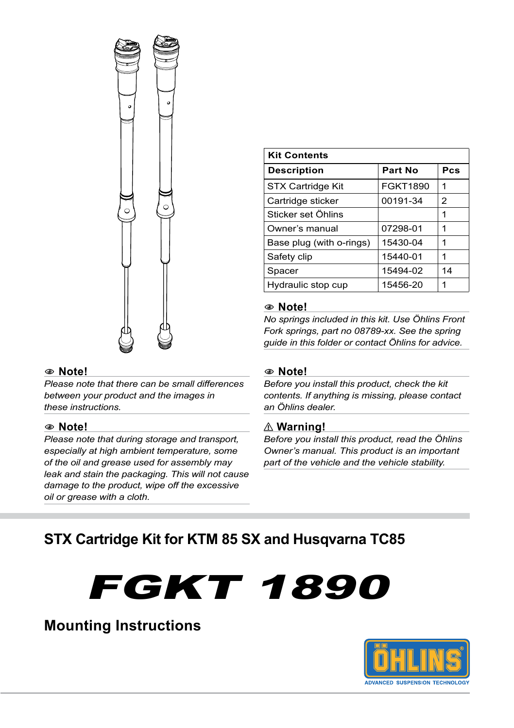

#### 1 **Note!**

*Please note that there can be small differences between your product and the images in these instructions.*

#### 1 **Note!**

*Please note that during storage and transport, especially at high ambient temperature, some of the oil and grease used for assembly may leak and stain the packaging. This will not cause damage to the product, wipe off the excessive oil or grease with a cloth.*

| <b>Kit Contents</b>      |          |                |  |
|--------------------------|----------|----------------|--|
| <b>Description</b>       | Part No  | Pcs            |  |
| STX Cartridge Kit        | FGKT1890 | 1              |  |
| Cartridge sticker        | 00191-34 | $\overline{2}$ |  |
| Sticker set Öhlins       |          | 1              |  |
| Owner's manual           | 07298-01 | 1              |  |
| Base plug (with o-rings) | 15430-04 | 1              |  |
| Safety clip              | 15440-01 | 1              |  |
| Spacer                   | 15494-02 | 14             |  |
| Hydraulic stop cup       | 15456-20 | 1              |  |

#### 1 **Note!**

*No springs included in this kit. Use Öhlins Front Fork springs, part no 08789-xx. See the spring guide in this folder or contact Öhlins for advice.*

#### 1 **Note!**

*Before you install this product, check the kit contents. If anything is missing, please contact an Öhlins dealer.*

#### ⚠ **Warning!**

*Before you install this product, read the Öhlins Owner's manual. This product is an important part of the vehicle and the vehicle stability.*

### **STX Cartridge Kit for KTM 85 SX and Husqvarna TC85**





**Mounting Instructions**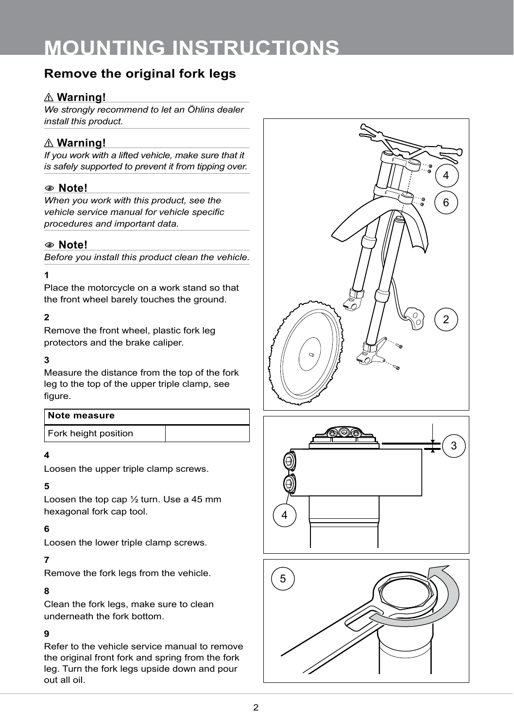### **Remove the original fork legs**

#### ⚠ **Warning!**

*We strongly recommend to let an Öhlins dealer install this product.*

#### ⚠ **Warning!**

*If you work with a lifted vehicle, make sure that it is safely supported to prevent it from tipping over.*

#### 1 **Note!**

*When you work with this product, see the vehicle service manual for vehicle specific procedures and important data.*

#### 1 **Note!**

*Before you install this product clean the vehicle.*

#### **1**

Place the motorcycle on a work stand so that the front wheel barely touches the ground.

#### **2**

Remove the front wheel, plastic fork leg protectors and the brake caliper.

#### **3**

Measure the distance from the top of the fork leg to the top of the upper triple clamp, see figure.

| Note measure         |  |
|----------------------|--|
| Fork height position |  |

#### **4**

Loosen the upper triple clamp screws.

#### **5**

Loosen the top cap ½ turn. Use a 45 mm hexagonal fork cap tool.

#### **6**

Loosen the lower triple clamp screws.

#### **7**

Remove the fork legs from the vehicle.

#### **8**

Clean the fork legs, make sure to clean underneath the fork bottom.

#### **9**

Refer to the vehicle service manual to remove the original front fork and spring from the fork leg. Turn the fork legs upside down and pour out all oil.





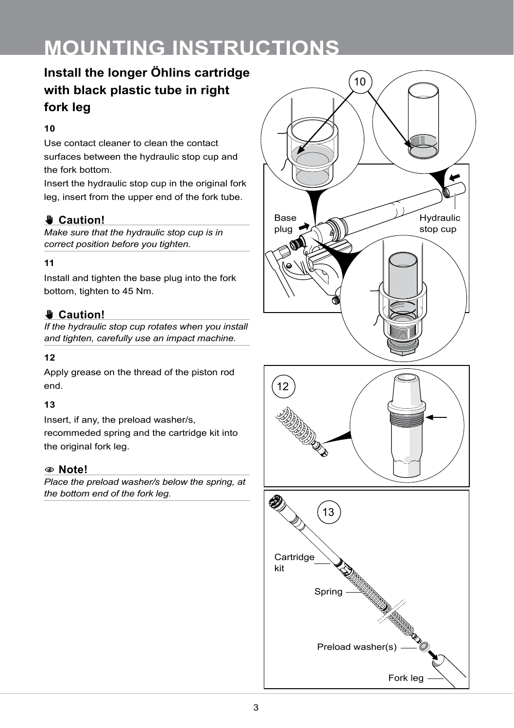### **Install the longer Öhlins cartridge with black plastic tube in right fork leg**

#### **10**

Use contact cleaner to clean the contact surfaces between the hydraulic stop cup and the fork bottom.

Insert the hydraulic stop cup in the original fork leg, insert from the upper end of the fork tube.

### ✋**✋ Caution!**

*Make sure that the hydraulic stop cup is in correct position before you tighten.*

#### **11**

Install and tighten the base plug into the fork bottom, tighten to 45 Nm.

#### ✋**✋ Caution!**

*If the hydraulic stop cup rotates when you install and tighten, carefully use an impact machine.*

#### **12**

Apply grease on the thread of the piston rod end.

#### **13**

Insert, if any, the preload washer/s, recommeded spring and the cartridge kit into the original fork leg.

#### 1 **Note!**

*Place the preload washer/s below the spring, at the bottom end of the fork leg.*



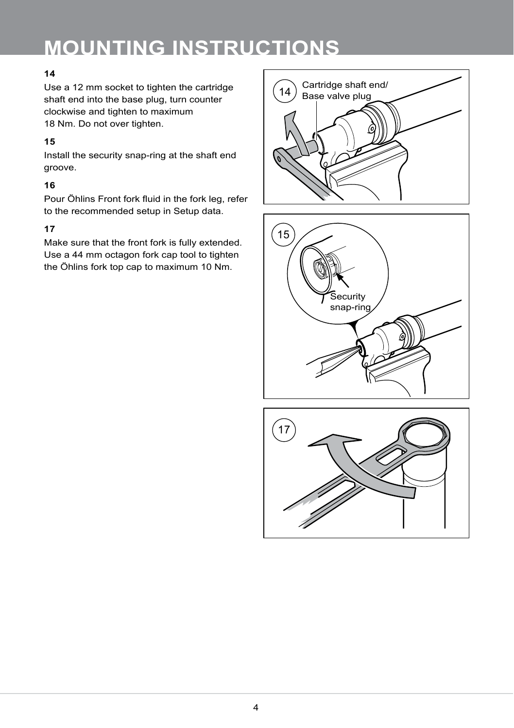#### **14**

Use a 12 mm socket to tighten the cartridge shaft end into the base plug, turn counter clockwise and tighten to maximum 18 Nm. Do not over tighten.

#### **15**

Install the security snap-ring at the shaft end groove.

#### **16**

Pour Öhlins Front fork fluid in the fork leg, refer to the recommended setup in Setup data.

#### **17**

Make sure that the front fork is fully extended. Use a 44 mm octagon fork cap tool to tighten the Öhlins fork top cap to maximum 10 Nm.





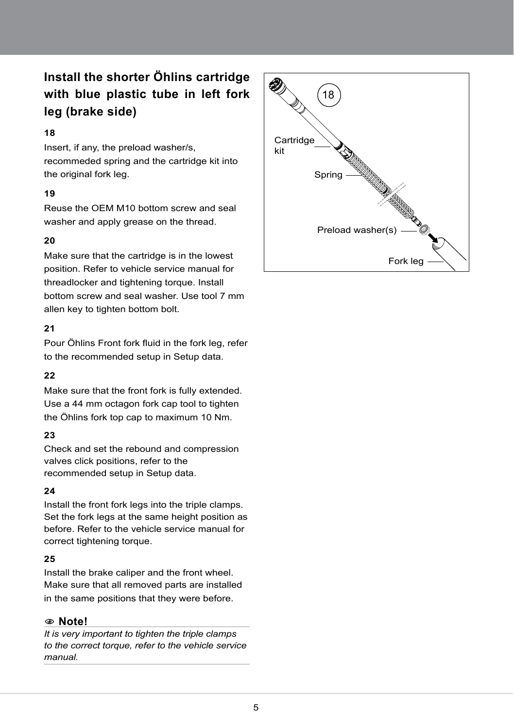### **Install the shorter Öhlins cartridge with blue plastic tube in left fork leg (brake side)**

#### **18**

Insert, if any, the preload washer/s, recommeded spring and the cartridge kit into the original fork leg.

#### **19**

Reuse the OEM M10 bottom screw and seal washer and apply grease on the thread.

#### **20**

Make sure that the cartridge is in the lowest position. Refer to vehicle service manual for threadlocker and tightening torque. Install bottom screw and seal washer. Use tool 7 mm allen key to tighten bottom bolt.

#### **21**

Pour Öhlins Front fork fluid in the fork leg, refer to the recommended setup in Setup data.

#### **22**

Make sure that the front fork is fully extended. Use a 44 mm octagon fork cap tool to tighten the Öhlins fork top cap to maximum 10 Nm.

#### **23**

Check and set the rebound and compression valves click positions, refer to the recommended setup in Setup data.

#### **24**

Install the front fork legs into the triple clamps. Set the fork legs at the same height position as before. Refer to the vehicle service manual for correct tightening torque.

#### **25**

Install the brake caliper and the front wheel. Make sure that all removed parts are installed in the same positions that they were before.

#### 1 **Note!**

*It is very important to tighten the triple clamps to the correct torque, refer to the vehicle service manual.*

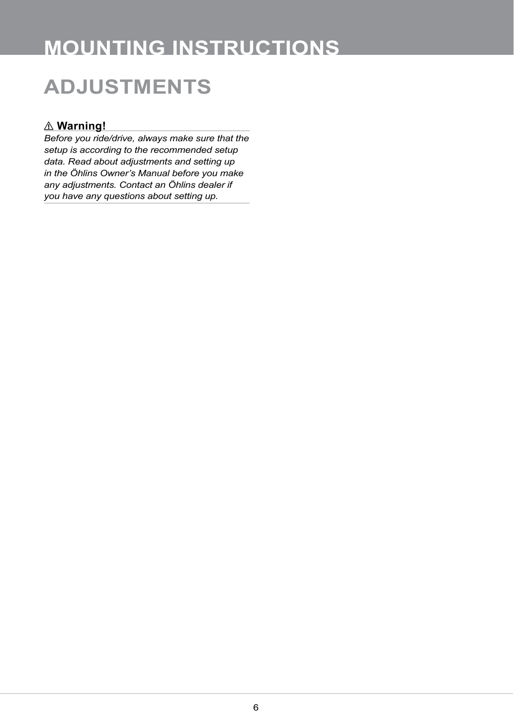## **ADJUSTMENTS**

#### ⚠ **Warning!**

*Before you ride/drive, always make sure that the setup is according to the recommended setup data. Read about adjustments and setting up in the Öhlins Owner's Manual before you make any adjustments. Contact an Öhlins dealer if you have any questions about setting up.*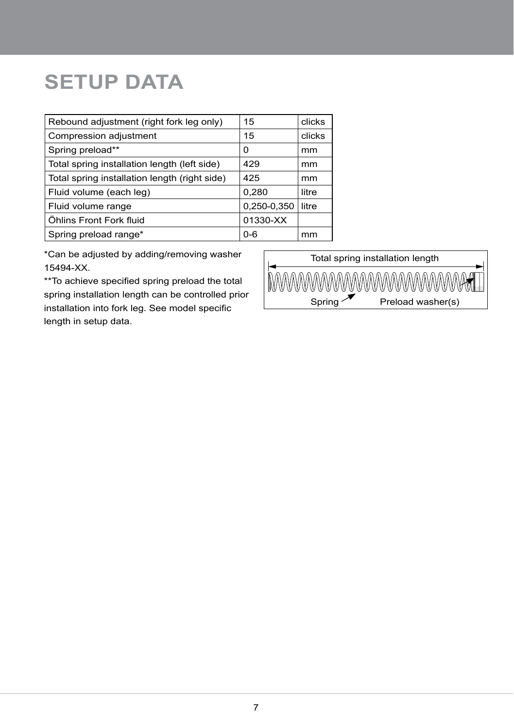## **SETUP DATA**

| 15          | clicks |
|-------------|--------|
| 15          | clicks |
| 0           | mm     |
| 429         | mm     |
| 425         | mm     |
| 0,280       | litre  |
| 0,250-0,350 | litre  |
| 01330-XX    |        |
| $0 - 6$     | mm     |
|             |        |

\*Can be adjusted by adding/removing washer 15494-XX.

\*\*To achieve specified spring preload the total spring installation length can be controlled prior installation into fork leg. See model specific length in setup data.

Total spring installation length

**MWW** Spring  $\sqrt{\phantom{a}}$  Preload washer(s)